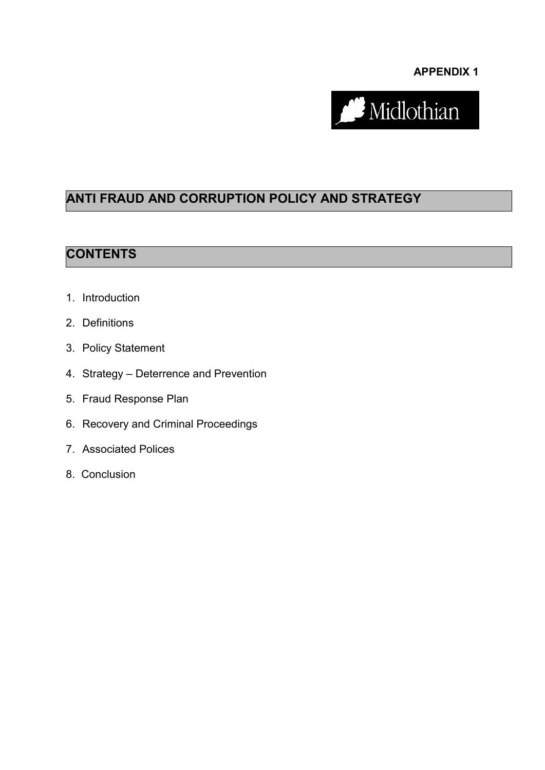**APPENDIX 1**



# **ANTI FRAUD AND CORRUPTION POLICY AND STRATEGY**

#### **CONTENTS**

- 1. Introduction
- 2. Definitions
- 3. Policy Statement
- 4. Strategy Deterrence and Prevention
- 5. Fraud Response Plan
- 6. Recovery and Criminal Proceedings
- 7. Associated Polices
- 8. Conclusion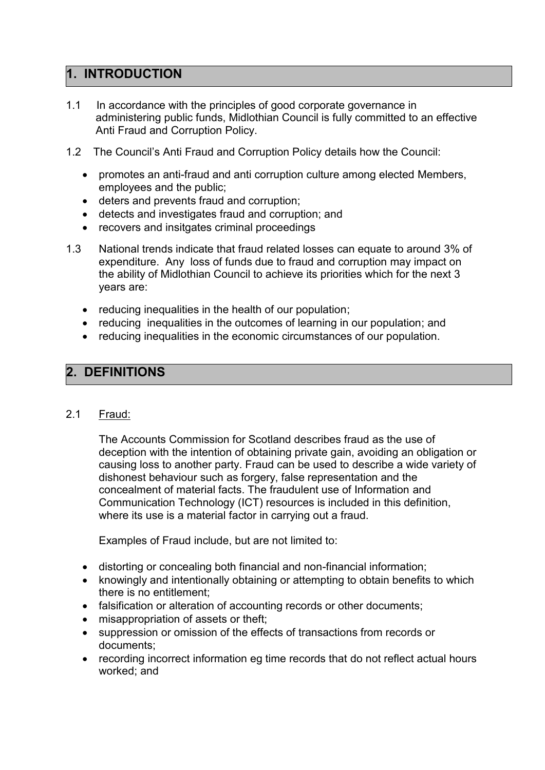#### **1. INTRODUCTION**

- 1.1 In accordance with the principles of good corporate governance in administering public funds, Midlothian Council is fully committed to an effective Anti Fraud and Corruption Policy.
- 1.2 The Council's Anti Fraud and Corruption Policy details how the Council:
	- promotes an anti-fraud and anti corruption culture among elected Members, employees and the public;
	- deters and prevents fraud and corruption;
	- detects and investigates fraud and corruption; and
	- recovers and insitgates criminal proceedings
- 1.3 National trends indicate that fraud related losses can equate to around 3% of expenditure. Any loss of funds due to fraud and corruption may impact on the ability of Midlothian Council to achieve its priorities which for the next 3 years are:
	- reducing inequalities in the health of our population;
	- reducing inequalities in the outcomes of learning in our population; and
	- reducing inequalities in the economic circumstances of our population.

## **2. DEFINITIONS**

#### 2.1 Fraud:

The Accounts Commission for Scotland describes fraud as the use of deception with the intention of obtaining private gain, avoiding an obligation or causing loss to another party. Fraud can be used to describe a wide variety of dishonest behaviour such as forgery, false representation and the concealment of material facts. The fraudulent use of Information and Communication Technology (ICT) resources is included in this definition, where its use is a material factor in carrying out a fraud.

Examples of Fraud include, but are not limited to:

- distorting or concealing both financial and non-financial information;
- knowingly and intentionally obtaining or attempting to obtain benefits to which there is no entitlement;
- falsification or alteration of accounting records or other documents;
- misappropriation of assets or theft;
- suppression or omission of the effects of transactions from records or documents;
- recording incorrect information eg time records that do not reflect actual hours worked; and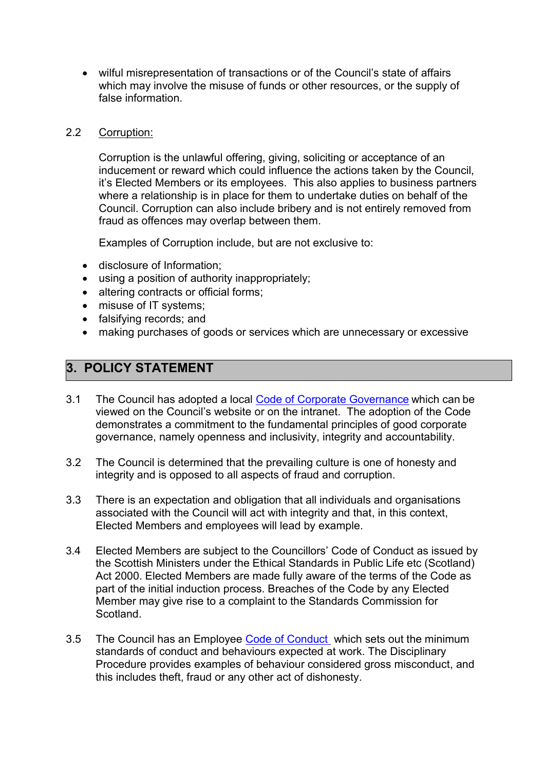wilful misrepresentation of transactions or of the Council's state of affairs which may involve the misuse of funds or other resources, or the supply of false information.

#### 2.2 Corruption:

Corruption is the unlawful offering, giving, soliciting or acceptance of an inducement or reward which could influence the actions taken by the Council, it's Elected Members or its employees. This also applies to business partners where a relationship is in place for them to undertake duties on behalf of the Council. Corruption can also include bribery and is not entirely removed from fraud as offences may overlap between them.

Examples of Corruption include, but are not exclusive to:

- disclosure of Information;
- using a position of authority inappropriately;
- altering contracts or official forms;
- misuse of IT systems;
- falsifying records: and
- making purchases of goods or services which are unnecessary or excessive

### **3. POLICY STATEMENT**

- 3.1 The Council has adopted a local [Code of Corporate Governance](file://midlothian/userfiles/Intranet/Minisites/Finance/Code%20of%20Corp%20Gov%201314.pdf) which can be viewed on the Council's website or on the intranet. The adoption of the Code demonstrates a commitment to the fundamental principles of good corporate governance, namely openness and inclusivity, integrity and accountability.
- 3.2 The Council is determined that the prevailing culture is one of honesty and integrity and is opposed to all aspects of fraud and corruption.
- 3.3 There is an expectation and obligation that all individuals and organisations associated with the Council will act with integrity and that, in this context, Elected Members and employees will lead by example.
- 3.4 Elected Members are subject to the Councillors' Code of Conduct as issued by the Scottish Ministers under the Ethical Standards in Public Life etc (Scotland) Act 2000. Elected Members are made fully aware of the terms of the Code as part of the initial induction process. Breaches of the Code by any Elected Member may give rise to a complaint to the Standards Commission for **Scotland**
- 3.5 The Council has an Employee [Code of Conduct](http://intranet/services/webinfo/webinfoPDF.asp?BlobID=20679) which sets out the minimum standards of conduct and behaviours expected at work. The Disciplinary Procedure provides examples of behaviour considered gross misconduct, and this includes theft, fraud or any other act of dishonesty.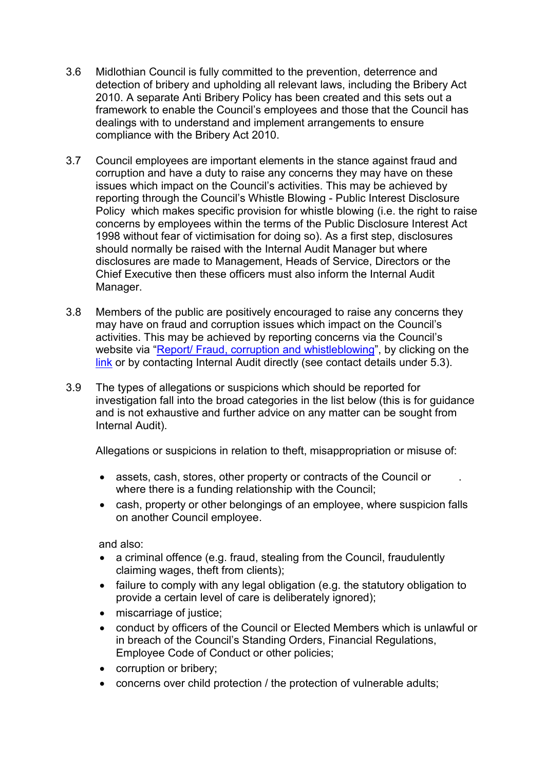- 3.6 Midlothian Council is fully committed to the prevention, deterrence and detection of bribery and upholding all relevant laws, including the Bribery Act 2010. A separate Anti Bribery Policy has been created and this sets out a framework to enable the Council's employees and those that the Council has dealings with to understand and implement arrangements to ensure compliance with the Bribery Act 2010.
- 3.7 Council employees are important elements in the stance against fraud and corruption and have a duty to raise any concerns they may have on these issues which impact on the Council's activities. This may be achieved by reporting through the Council's Whistle Blowing - [Public Interest Disclosure](http://intranet/services/webinfo/webinfoPDF.asp?BlobID=23722)  [Policy](http://intranet/services/webinfo/webinfoPDF.asp?BlobID=23722) which makes specific provision for whistle blowing (i.e. the right to raise concerns by employees within the terms of the Public Disclosure Interest Act 1998 without fear of victimisation for doing so). As a first step, disclosures should normally be raised with the Internal Audit Manager but where disclosures are made to Management, Heads of Service, Directors or the Chief Executive then these officers must also inform the Internal Audit Manager.
- 3.8 Members of the public are positively encouraged to raise any concerns they may have on fraud and corruption issues which impact on the Council's activities. This may be achieved by reporting concerns via the Council's website via "[Report/ Fraud, corruption and whistleblowing](https://www.midlothian.gov.uk/info/670/have_your_say/302/report_a_possible_crime_or_fraud)", by clicking on the [link](https://www.midlothian.gov.uk/info/670/have_your_say/302/report_a_possible_crime_or_fraud) or by contacting Internal Audit directly (see contact details under 5.3).
- 3.9 The types of allegations or suspicions which should be reported for investigation fall into the broad categories in the list below (this is for guidance and is not exhaustive and further advice on any matter can be sought from Internal Audit).

Allegations or suspicions in relation to theft, misappropriation or misuse of:

- assets, cash, stores, other property or contracts of the Council or where there is a funding relationship with the Council;
- cash, property or other belongings of an employee, where suspicion falls on another Council employee.

and also:

- a criminal offence (e.g. fraud, stealing from the Council, fraudulently claiming wages, theft from clients);
- failure to comply with any legal obligation (e.g. the statutory obligation to provide a certain level of care is deliberately ignored);
- miscarriage of justice;
- conduct by officers of the Council or Elected Members which is unlawful or in breach of the Council's Standing Orders, Financial Regulations, Employee Code of Conduct or other policies;
- corruption or bribery;
- concerns over child protection / the protection of vulnerable adults;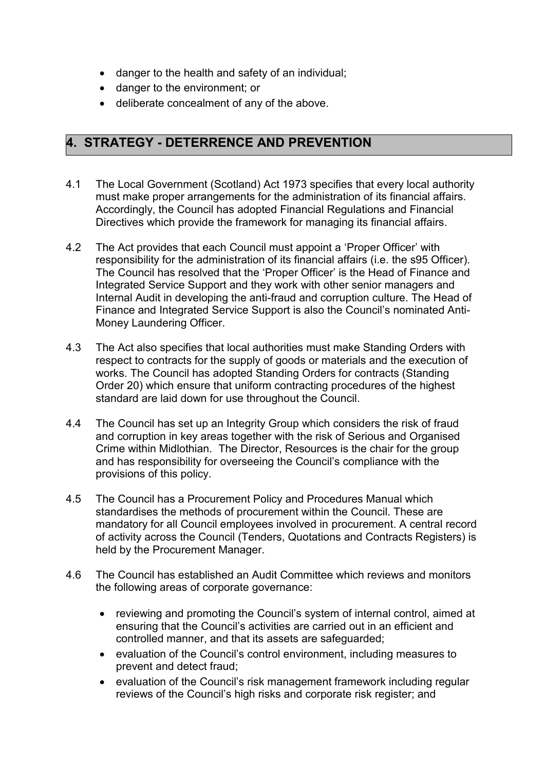- danger to the health and safety of an individual;
- danger to the environment; or
- deliberate concealment of any of the above.

#### **4. STRATEGY - DETERRENCE AND PREVENTION**

- 4.1 The Local Government (Scotland) Act 1973 specifies that every local authority must make proper arrangements for the administration of its financial affairs. Accordingly, the Council has adopted Financial Regulations and Financial Directives which provide the framework for managing its financial affairs.
- 4.2 The Act provides that each Council must appoint a 'Proper Officer' with responsibility for the administration of its financial affairs (i.e. the s95 Officer). The Council has resolved that the 'Proper Officer' is the Head of Finance and Integrated Service Support and they work with other senior managers and Internal Audit in developing the anti-fraud and corruption culture. The Head of Finance and Integrated Service Support is also the Council's nominated Anti-Money Laundering Officer.
- 4.3 The Act also specifies that local authorities must make Standing Orders with respect to contracts for the supply of goods or materials and the execution of works. The Council has adopted Standing Orders for contracts (Standing Order 20) which ensure that uniform contracting procedures of the highest standard are laid down for use throughout the Council.
- 4.4 The Council has set up an Integrity Group which considers the risk of fraud and corruption in key areas together with the risk of Serious and Organised Crime within Midlothian. The Director, Resources is the chair for the group and has responsibility for overseeing the Council's compliance with the provisions of this policy.
- 4.5 The Council has a Procurement Policy and Procedures Manual which standardises the methods of procurement within the Council. These are mandatory for all Council employees involved in procurement. A central record of activity across the Council (Tenders, Quotations and Contracts Registers) is held by the Procurement Manager.
- 4.6 The Council has established an Audit Committee which reviews and monitors the following areas of corporate governance:
	- reviewing and promoting the Council's system of internal control, aimed at ensuring that the Council's activities are carried out in an efficient and controlled manner, and that its assets are safeguarded;
	- evaluation of the Council's control environment, including measures to prevent and detect fraud;
	- evaluation of the Council's risk management framework including regular reviews of the Council's high risks and corporate risk register; and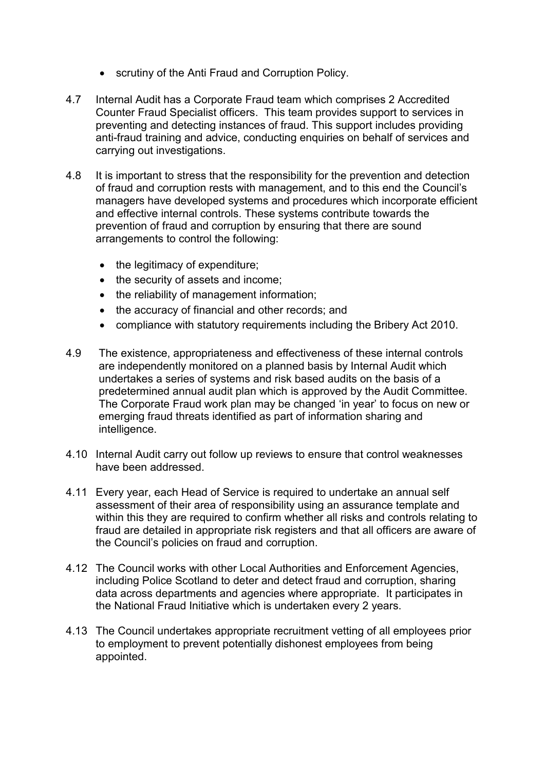- scrutiny of the Anti Fraud and Corruption Policy.
- 4.7 Internal Audit has a Corporate Fraud team which comprises 2 Accredited Counter Fraud Specialist officers. This team provides support to services in preventing and detecting instances of fraud. This support includes providing anti-fraud training and advice, conducting enquiries on behalf of services and carrying out investigations.
- 4.8 It is important to stress that the responsibility for the prevention and detection of fraud and corruption rests with management, and to this end the Council's managers have developed systems and procedures which incorporate efficient and effective internal controls. These systems contribute towards the prevention of fraud and corruption by ensuring that there are sound arrangements to control the following:
	- the legitimacy of expenditure;
	- the security of assets and income;
	- the reliability of management information;
	- the accuracy of financial and other records; and
	- compliance with statutory requirements including the Bribery Act 2010.
- 4.9 The existence, appropriateness and effectiveness of these internal controls are independently monitored on a planned basis by Internal Audit which undertakes a series of systems and risk based audits on the basis of a predetermined annual audit plan which is approved by the Audit Committee. The Corporate Fraud work plan may be changed 'in year' to focus on new or emerging fraud threats identified as part of information sharing and intelligence.
- 4.10 Internal Audit carry out follow up reviews to ensure that control weaknesses have been addressed.
- 4.11 Every year, each Head of Service is required to undertake an annual self assessment of their area of responsibility using an assurance template and within this they are required to confirm whether all risks and controls relating to fraud are detailed in appropriate risk registers and that all officers are aware of the Council's policies on fraud and corruption.
- 4.12 The Council works with other Local Authorities and Enforcement Agencies, including Police Scotland to deter and detect fraud and corruption, sharing data across departments and agencies where appropriate. It participates in the National Fraud Initiative which is undertaken every 2 years.
- 4.13 The Council undertakes appropriate recruitment vetting of all employees prior to employment to prevent potentially dishonest employees from being appointed.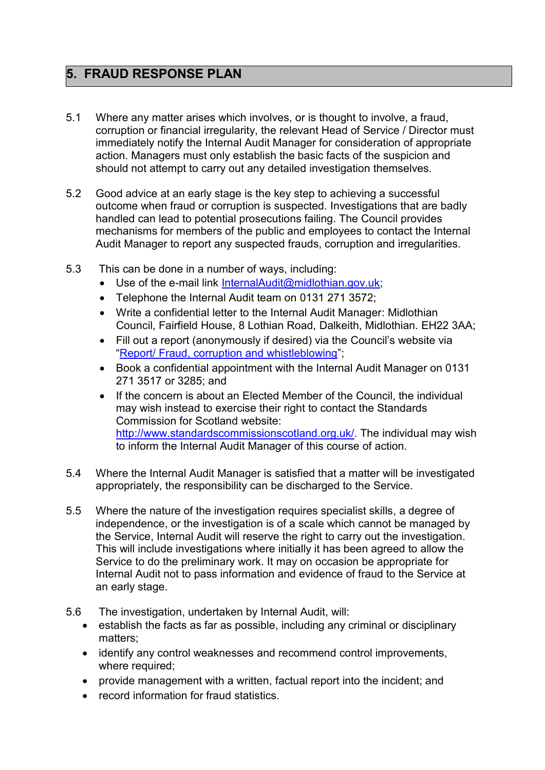## **5. FRAUD RESPONSE PLAN**

- 5.1 Where any matter arises which involves, or is thought to involve, a fraud, corruption or financial irregularity, the relevant Head of Service / Director must immediately notify the Internal Audit Manager for consideration of appropriate action. Managers must only establish the basic facts of the suspicion and should not attempt to carry out any detailed investigation themselves.
- 5.2 Good advice at an early stage is the key step to achieving a successful outcome when fraud or corruption is suspected. Investigations that are badly handled can lead to potential prosecutions failing. The Council provides mechanisms for members of the public and employees to contact the Internal Audit Manager to report any suspected frauds, corruption and irregularities.
- 5.3 This can be done in a number of ways, including:
	- Use of the e-mail link [InternalAudit@midlothian.gov.uk;](mailto:InternalAudit@midlothian.gov.uk)
	- Telephone the Internal Audit team on 0131 271 3572:
	- Write a confidential letter to the Internal Audit Manager: Midlothian Council, Fairfield House, 8 Lothian Road, Dalkeith, Midlothian. EH22 3AA;
	- Fill out a report (anonymously if desired) via the Council's website via "[Report/ Fraud, corruption and whistleblowing](https://www.midlothian.gov.uk/info/670/have_your_say/302/report_a_possible_crime_or_fraud)";
	- Book a confidential appointment with the Internal Audit Manager on 0131 271 3517 or 3285; and
	- If the concern is about an Elected Member of the Council, the individual may wish instead to exercise their right to contact the Standards Commission for Scotland website: [http://www.standardscommissionscotland.org.uk/.](http://www.standardscommissionscotland.org.uk/) The individual may wish to inform the Internal Audit Manager of this course of action.
- 5.4 Where the Internal Audit Manager is satisfied that a matter will be investigated appropriately, the responsibility can be discharged to the Service.
- 5.5 Where the nature of the investigation requires specialist skills, a degree of independence, or the investigation is of a scale which cannot be managed by the Service, Internal Audit will reserve the right to carry out the investigation. This will include investigations where initially it has been agreed to allow the Service to do the preliminary work. It may on occasion be appropriate for Internal Audit not to pass information and evidence of fraud to the Service at an early stage.
- 5.6 The investigation, undertaken by Internal Audit, will:
	- establish the facts as far as possible, including any criminal or disciplinary matters;
	- identify any control weaknesses and recommend control improvements, where required:
	- provide management with a written, factual report into the incident; and
	- record information for fraud statistics.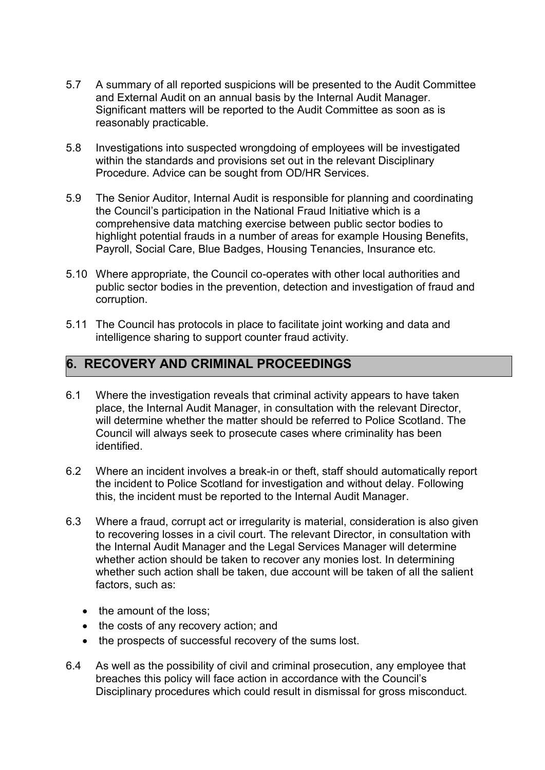- 5.7 A summary of all reported suspicions will be presented to the Audit Committee and External Audit on an annual basis by the Internal Audit Manager. Significant matters will be reported to the Audit Committee as soon as is reasonably practicable.
- 5.8 Investigations into suspected wrongdoing of employees will be investigated within the standards and provisions set out in the relevant Disciplinary Procedure. Advice can be sought from OD/HR Services.
- 5.9 The Senior Auditor, Internal Audit is responsible for planning and coordinating the Council's participation in the National Fraud Initiative which is a comprehensive data matching exercise between public sector bodies to highlight potential frauds in a number of areas for example Housing Benefits, Payroll, Social Care, Blue Badges, Housing Tenancies, Insurance etc.
- 5.10 Where appropriate, the Council co-operates with other local authorities and public sector bodies in the prevention, detection and investigation of fraud and corruption.
- 5.11 The Council has protocols in place to facilitate joint working and data and intelligence sharing to support counter fraud activity.

#### **6. RECOVERY AND CRIMINAL PROCEEDINGS**

- 6.1 Where the investigation reveals that criminal activity appears to have taken place, the Internal Audit Manager, in consultation with the relevant Director, will determine whether the matter should be referred to Police Scotland. The Council will always seek to prosecute cases where criminality has been identified.
- 6.2 Where an incident involves a break-in or theft, staff should automatically report the incident to Police Scotland for investigation and without delay. Following this, the incident must be reported to the Internal Audit Manager.
- 6.3 Where a fraud, corrupt act or irregularity is material, consideration is also given to recovering losses in a civil court. The relevant Director, in consultation with the Internal Audit Manager and the Legal Services Manager will determine whether action should be taken to recover any monies lost. In determining whether such action shall be taken, due account will be taken of all the salient factors, such as:
	- the amount of the loss;
	- the costs of any recovery action; and
	- the prospects of successful recovery of the sums lost.
- 6.4 As well as the possibility of civil and criminal prosecution, any employee that breaches this policy will face action in accordance with the Council's Disciplinary procedures which could result in dismissal for gross misconduct.